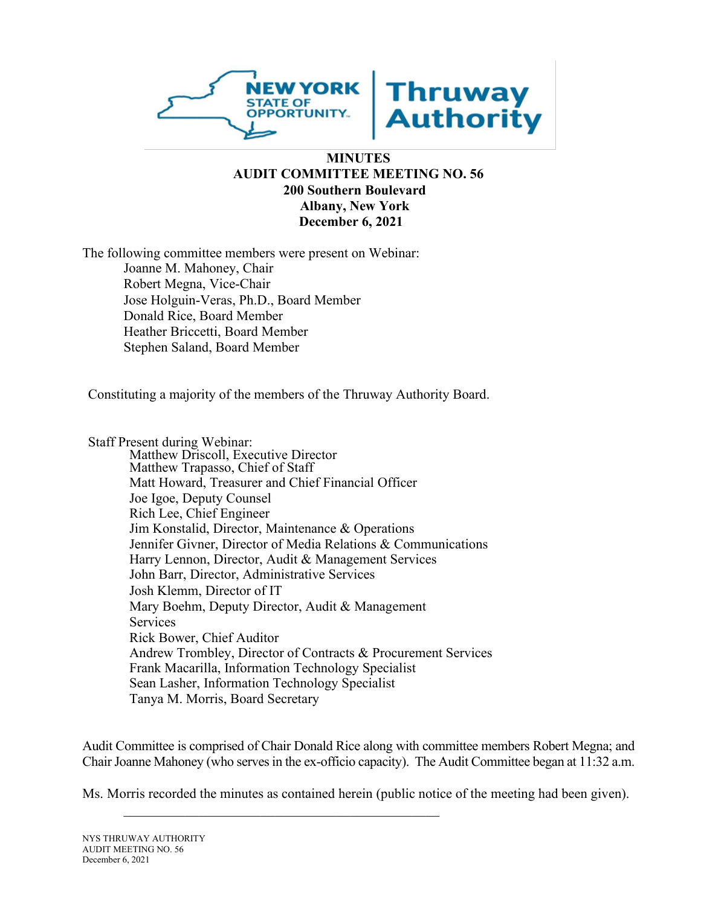

#### **MINUTES AUDIT COMMITTEE MEETING NO. 56 200 Southern Boulevard Albany, New York December 6, 2021**

The following committee members were present on Webinar: Joanne M. Mahoney, Chair Robert Megna, Vice-Chair Jose Holguin-Veras, Ph.D., Board Member Donald Rice, Board Member Heather Briccetti, Board Member Stephen Saland, Board Member

Constituting a majority of the members of the Thruway Authority Board.

Staff Present during Webinar: Matthew Driscoll, Executive Director Matthew Trapasso, Chief of Staff Matt Howard, Treasurer and Chief Financial Officer Joe Igoe, Deputy Counsel Rich Lee, Chief Engineer Jim Konstalid, Director, Maintenance & Operations Jennifer Givner, Director of Media Relations & Communications Harry Lennon, Director, Audit & Management Services John Barr, Director, Administrative Services Josh Klemm, Director of IT Mary Boehm, Deputy Director, Audit & Management Services Rick Bower, Chief Auditor Andrew Trombley, Director of Contracts & Procurement Services Frank Macarilla, Information Technology Specialist Sean Lasher, Information Technology Specialist Tanya M. Morris, Board Secretary

\_\_\_\_\_\_\_\_\_\_\_\_\_\_\_\_\_\_\_\_\_\_\_\_\_\_\_\_\_\_\_\_\_\_\_\_\_\_\_\_\_\_\_\_\_\_

Audit Committee is comprised of Chair Donald Rice along with committee members Robert Megna; and Chair Joanne Mahoney (who serves in the ex-officio capacity). The Audit Committee began at 11:32 a.m.

Ms. Morris recorded the minutes as contained herein (public notice of the meeting had been given).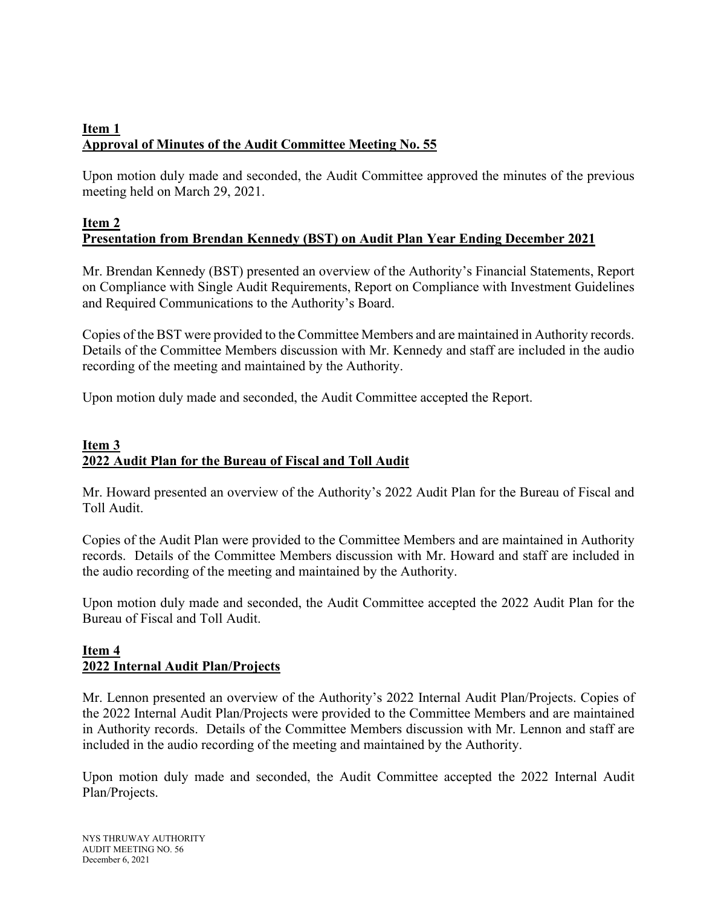# **Item 1 Approval of Minutes of the Audit Committee Meeting No. 55**

Upon motion duly made and seconded, the Audit Committee approved the minutes of the previous meeting held on March 29, 2021.

## **Item 2 Presentation from Brendan Kennedy (BST) on Audit Plan Year Ending December 2021**

Mr. Brendan Kennedy (BST) presented an overview of the Authority's Financial Statements, Report on Compliance with Single Audit Requirements, Report on Compliance with Investment Guidelines and Required Communications to the Authority's Board.

Copies of the BST were provided to the Committee Members and are maintained in Authority records. Details of the Committee Members discussion with Mr. Kennedy and staff are included in the audio recording of the meeting and maintained by the Authority.

Upon motion duly made and seconded, the Audit Committee accepted the Report.

## **Item 3 2022 Audit Plan for the Bureau of Fiscal and Toll Audit**

Mr. Howard presented an overview of the Authority's 2022 Audit Plan for the Bureau of Fiscal and Toll Audit.

Copies of the Audit Plan were provided to the Committee Members and are maintained in Authority records. Details of the Committee Members discussion with Mr. Howard and staff are included in the audio recording of the meeting and maintained by the Authority.

Upon motion duly made and seconded, the Audit Committee accepted the 2022 Audit Plan for the Bureau of Fiscal and Toll Audit.

## **Item 4 2022 Internal Audit Plan/Projects**

Mr. Lennon presented an overview of the Authority's 2022 Internal Audit Plan/Projects. Copies of the 2022 Internal Audit Plan/Projects were provided to the Committee Members and are maintained in Authority records. Details of the Committee Members discussion with Mr. Lennon and staff are included in the audio recording of the meeting and maintained by the Authority.

Upon motion duly made and seconded, the Audit Committee accepted the 2022 Internal Audit Plan/Projects.